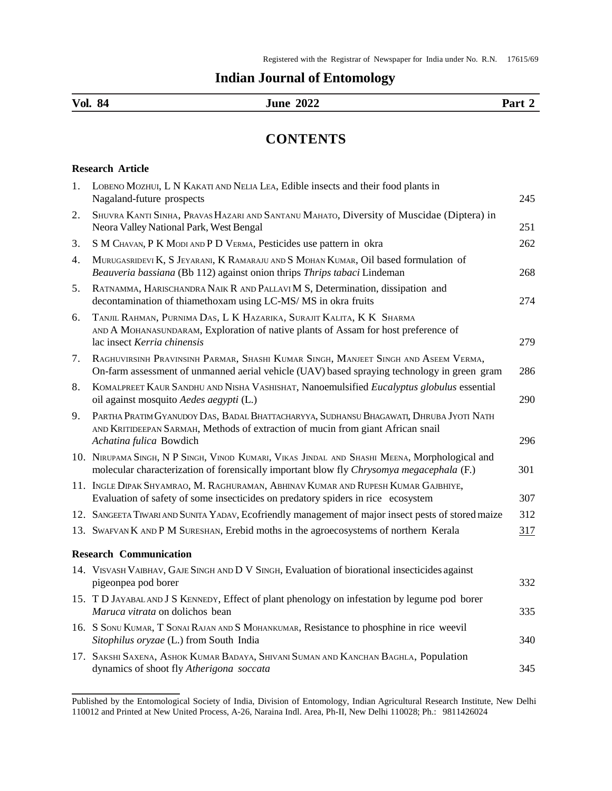## **Indian Journal of Entomology**

| Vol.<br>- 94 | $\mathbf{a}\mathbf{a}$<br>ıι<br>___ | Part<br>$\sim$ 0.2 $\sim$ |
|--------------|-------------------------------------|---------------------------|
|              |                                     |                           |

## **CONTENTS**

## **Research Article**

| 1. | LOBENO MOZHUI, L N KAKATI AND NELIA LEA, Edible insects and their food plants in<br>Nagaland-future prospects                                                                                        | 245 |
|----|------------------------------------------------------------------------------------------------------------------------------------------------------------------------------------------------------|-----|
| 2. | SHUVRA KANTI SINHA, PRAVAS HAZARI AND SANTANU MAHATO, Diversity of Muscidae (Diptera) in<br>Neora Valley National Park, West Bengal                                                                  | 251 |
| 3. | S M CHAVAN, P K MODI AND P D VERMA, Pesticides use pattern in okra                                                                                                                                   | 262 |
| 4. | MURUGASRIDEVI K, S JEYARANI, K RAMARAJU AND S MOHAN KUMAR, Oil based formulation of<br>Beauveria bassiana (Bb 112) against onion thrips Thrips tabaci Lindeman                                       | 268 |
| 5. | RATNAMMA, HARISCHANDRA NAIK R AND PALLAVI M S, Determination, dissipation and<br>decontamination of thiamethoxam using LC-MS/MS in okra fruits                                                       | 274 |
| 6. | TANJIL RAHMAN, PURNIMA DAS, L K HAZARIKA, SURAJIT KALITA, K K SHARMA<br>AND A MOHANASUNDARAM, Exploration of native plants of Assam for host preference of<br>lac insect Kerria chinensis            | 279 |
| 7. | RAGHUVIRSINH PRAVINSINH PARMAR, SHASHI KUMAR SINGH, MANJEET SINGH AND ASEEM VERMA,<br>On-farm assessment of unmanned aerial vehicle (UAV) based spraying technology in green gram                    | 286 |
| 8. | KOMALPREET KAUR SANDHU AND NISHA VASHISHAT, Nanoemulsified Eucalyptus globulus essential<br>oil against mosquito Aedes aegypti (L.)                                                                  | 290 |
| 9. | PARTHA PRATIM GYANUDOY DAS, BADAL BHATTACHARYYA, SUDHANSU BHAGAWATI, DHRUBA JYOTI NATH<br>AND KRITIDEEPAN SARMAH, Methods of extraction of mucin from giant African snail<br>Achatina fulica Bowdich | 296 |
|    | 10. NIRUPAMA SINGH, N P SINGH, VINOD KUMARI, VIKAS JINDAL AND SHASHI MEENA, MOrphological and<br>molecular characterization of forensically important blow fly Chrysomya megacephala (F.)            | 301 |
|    | 11. INGLE DIPAK SHYAMRAO, M. RAGHURAMAN, ABHINAV KUMAR AND RUPESH KUMAR GAJBHIYE,<br>Evaluation of safety of some insecticides on predatory spiders in rice ecosystem                                | 307 |
|    | 12. SANGEETA TIWARI AND SUNITA YADAV, Ecofriendly management of major insect pests of stored maize                                                                                                   | 312 |
|    | 13. SWAFVAN K AND P M SURESHAN, Erebid moths in the agroecosystems of northern Kerala                                                                                                                | 317 |
|    | <b>Research Communication</b>                                                                                                                                                                        |     |
|    | 14. VISVASH VAIBHAV, GAJE SINGH AND D V SINGH, Evaluation of biorational insecticides against<br>pigeonpea pod borer                                                                                 | 332 |
|    | 15. T D JAYABAL AND J S KENNEDY, Effect of plant phenology on infestation by legume pod borer<br>Maruca vitrata on dolichos bean                                                                     | 335 |
|    | 16. S SONU KUMAR, T SONAI RAJAN AND S MOHANKUMAR, Resistance to phosphine in rice weevil<br>Sitophilus oryzae (L.) from South India                                                                  | 340 |
|    | 17. SAKSHI SAXENA, ASHOK KUMAR BADAYA, SHIVANI SUMAN AND KANCHAN BAGHLA, Population<br>dynamics of shoot fly Atherigona soccata                                                                      | 345 |
|    |                                                                                                                                                                                                      |     |

Published by the Entomological Society of India, Division of Entomology, Indian Agricultural Research Institute, New Delhi 110012 and Printed at New United Process, A-26, Naraina Indl. Area, Ph-II, New Delhi 110028; Ph.: 9811426024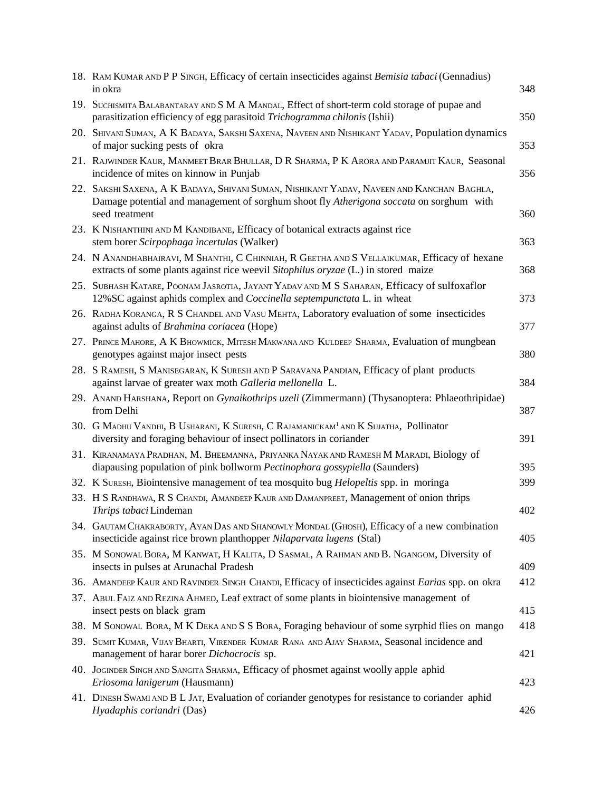| 18. RAM KUMAR AND P P SINGH, Efficacy of certain insecticides against Bemisia tabaci (Gennadius)<br>in okra                                                                                            | 348 |
|--------------------------------------------------------------------------------------------------------------------------------------------------------------------------------------------------------|-----|
| 19. SUCHISMITA BALABANTARAY AND S M A MANDAL, Effect of short-term cold storage of pupae and<br>parasitization efficiency of egg parasitoid Trichogramma chilonis (Ishii)                              | 350 |
| 20. SHIVANI SUMAN, A K BADAYA, SAKSHI SAXENA, NAVEEN AND NISHIKANT YADAV, Population dynamics<br>of major sucking pests of okra                                                                        | 353 |
| 21. RAJWINDER KAUR, MANMEET BRAR BHULLAR, D R SHARMA, P K ARORA AND PARAMJIT KAUR, Seasonal<br>incidence of mites on kinnow in Punjab                                                                  | 356 |
| 22. SAKSHI SAXENA, A K BADAYA, SHIVANI SUMAN, NISHIKANT YADAV, NAVEEN AND KANCHAN BAGHLA,<br>Damage potential and management of sorghum shoot fly Atherigona soccata on sorghum with<br>seed treatment | 360 |
| 23. K NISHANTHINI AND M KANDIBANE, Efficacy of botanical extracts against rice<br>stem borer Scirpophaga incertulas (Walker)                                                                           | 363 |
| 24. N ANANDHABHAIRAVI, M SHANTHI, C CHINNIAH, R GEETHA AND S VELLAIKUMAR, Efficacy of hexane<br>extracts of some plants against rice weevil Sitophilus oryzae (L.) in stored maize                     | 368 |
| 25. SUBHASH KATARE, POONAM JASROTIA, JAYANT YADAV AND M S SAHARAN, Efficacy of sulfoxaflor<br>12% SC against aphids complex and Coccinella septempunctata L. in wheat                                  | 373 |
| 26. RADHA KORANGA, R S CHANDEL AND VASU MEHTA, Laboratory evaluation of some insecticides<br>against adults of Brahmina coriacea (Hope)                                                                | 377 |
| 27. PRINCE MAHORE, A K BHOWMICK, MITESH MAKWANA AND KULDEEP SHARMA, Evaluation of mungbean<br>genotypes against major insect pests                                                                     | 380 |
| 28. S RAMESH, S MANISEGARAN, K SURESH AND P SARAVANA PANDIAN, Efficacy of plant products<br>against larvae of greater wax moth Galleria mellonella L.                                                  | 384 |
| 29. ANAND HARSHANA, Report on Gynaikothrips uzeli (Zimmermann) (Thysanoptera: Phlaeothripidae)<br>from Delhi                                                                                           | 387 |
| 30. G MADHU VANDHI, B USHARANI, K SURESH, C RAJAMANICKAM <sup>1</sup> AND K SUJATHA, Pollinator<br>diversity and foraging behaviour of insect pollinators in coriander                                 | 391 |
| 31. KIRANAMAYA PRADHAN, M. BHEEMANNA, PRIYANKA NAYAK AND RAMESH M MARADI, Biology of<br>diapausing population of pink bollworm Pectinophora gossypiella (Saunders)                                     | 395 |
| 32. K SURESH, Biointensive management of tea mosquito bug <i>Helopeltis</i> spp. in moringa                                                                                                            | 399 |
| 33. H S RANDHAWA, R S CHANDI, AMANDEEP KAUR AND DAMANPREET, Management of onion thrips<br>Thrips tabaci Lindeman                                                                                       | 402 |
| 34. GAUTAM CHAKRABORTY, AYAN DAS AND SHANOWLY MONDAL (GHOSH), Efficacy of a new combination<br>insecticide against rice brown planthopper Nilaparvata lugens (Stal)                                    | 405 |
| 35. M SONOWAL BORA, M KANWAT, H KALITA, D SASMAL, A RAHMAN AND B. NGANGOM, Diversity of<br>insects in pulses at Arunachal Pradesh                                                                      | 409 |
| 36. AMANDEEP KAUR AND RAVINDER SINGH CHANDI, Efficacy of insecticides against Earias spp. on okra                                                                                                      | 412 |
| 37. ABUL FAIZ AND REZINA AHMED, Leaf extract of some plants in biointensive management of<br>insect pests on black gram                                                                                | 415 |
| 38. M SONOWAL BORA, M K DEKA AND S S BORA, Foraging behaviour of some syrphid flies on mango                                                                                                           | 418 |
| 39. SUMIT KUMAR, VIJAY BHARTI, VIRENDER KUMAR RANA AND AJAY SHARMA, Seasonal incidence and<br>management of harar borer Dichocrocis sp.                                                                | 421 |
| 40. JOGINDER SINGH AND SANGITA SHARMA, Efficacy of phosmet against woolly apple aphid<br>Eriosoma lanigerum (Hausmann)                                                                                 | 423 |
| 41. DINESH SWAMI AND B L JAT, Evaluation of coriander genotypes for resistance to coriander aphid<br>Hyadaphis coriandri (Das)                                                                         | 426 |